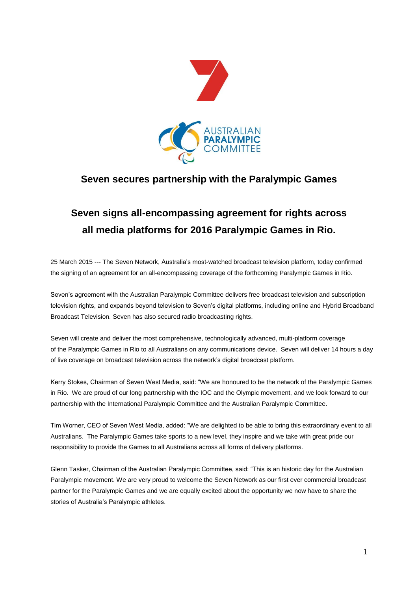

## **Seven secures partnership with the Paralympic Games**

## **Seven signs all-encompassing agreement for rights across all media platforms for 2016 Paralympic Games in Rio.**

25 March 2015 --- The Seven Network, Australia's most-watched broadcast television platform, today confirmed the signing of an agreement for an all-encompassing coverage of the forthcoming Paralympic Games in Rio.

Seven's agreement with the Australian Paralympic Committee delivers free broadcast television and subscription television rights, and expands beyond television to Seven's digital platforms, including online and Hybrid Broadband Broadcast Television. Seven has also secured radio broadcasting rights.

Seven will create and deliver the most comprehensive, technologically advanced, multi-platform coverage of the Paralympic Games in Rio to all Australians on any communications device. Seven will deliver 14 hours a day of live coverage on broadcast television across the network's digital broadcast platform.

Kerry Stokes, Chairman of Seven West Media, said: "We are honoured to be the network of the Paralympic Games in Rio. We are proud of our long partnership with the IOC and the Olympic movement, and we look forward to our partnership with the International Paralympic Committee and the Australian Paralympic Committee.

Tim Worner, CEO of Seven West Media, added: "We are delighted to be able to bring this extraordinary event to all Australians. The Paralympic Games take sports to a new level, they inspire and we take with great pride our responsibility to provide the Games to all Australians across all forms of delivery platforms.

Glenn Tasker, Chairman of the Australian Paralympic Committee, said: "This is an historic day for the Australian Paralympic movement. We are very proud to welcome the Seven Network as our first ever commercial broadcast partner for the Paralympic Games and we are equally excited about the opportunity we now have to share the stories of Australia's Paralympic athletes.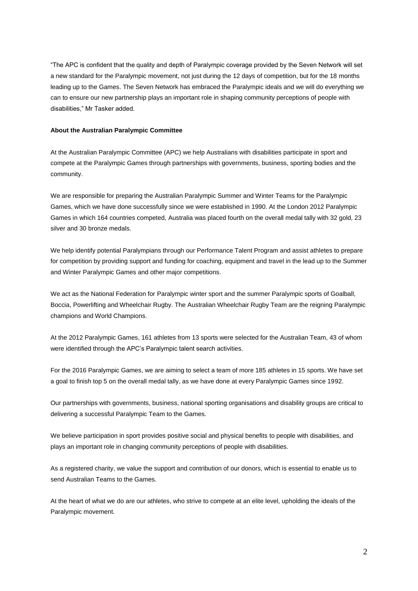"The APC is confident that the quality and depth of Paralympic coverage provided by the Seven Network will set a new standard for the Paralympic movement, not just during the 12 days of competition, but for the 18 months leading up to the Games. The Seven Network has embraced the Paralympic ideals and we will do everything we can to ensure our new partnership plays an important role in shaping community perceptions of people with disabilities," Mr Tasker added.

## **About the Australian Paralympic Committee**

At the Australian Paralympic Committee (APC) we help Australians with disabilities participate in sport and compete at the Paralympic Games through partnerships with governments, business, sporting bodies and the community.

We are responsible for preparing the Australian Paralympic Summer and Winter Teams for the Paralympic Games, which we have done successfully since we were established in 1990. At the London 2012 Paralympic Games in which 164 countries competed, Australia was placed fourth on the overall medal tally with 32 gold, 23 silver and 30 bronze medals.

We help identify potential Paralympians through our Performance Talent Program and assist athletes to prepare for competition by providing support and funding for coaching, equipment and travel in the lead up to the Summer and Winter Paralympic Games and other major competitions.

We act as the National Federation for Paralympic winter sport and the summer Paralympic sports of Goalball, Boccia, Powerlifting and Wheelchair Rugby. The Australian Wheelchair Rugby Team are the reigning Paralympic champions and World Champions.

At the 2012 Paralympic Games, 161 athletes from 13 sports were selected for the Australian Team, 43 of whom were identified through the APC's Paralympic talent search activities.

For the 2016 Paralympic Games, we are aiming to select a team of more 185 athletes in 15 sports. We have set a goal to finish top 5 on the overall medal tally, as we have done at every Paralympic Games since 1992.

Our partnerships with governments, business, national sporting organisations and disability groups are critical to delivering a successful Paralympic Team to the Games.

We believe participation in sport provides positive social and physical benefits to people with disabilities, and plays an important role in changing community perceptions of people with disabilities.

As a registered charity, we value the support and contribution of our donors, which is essential to enable us to send Australian Teams to the Games.

At the heart of what we do are our athletes, who strive to compete at an elite level, upholding the ideals of the Paralympic movement.